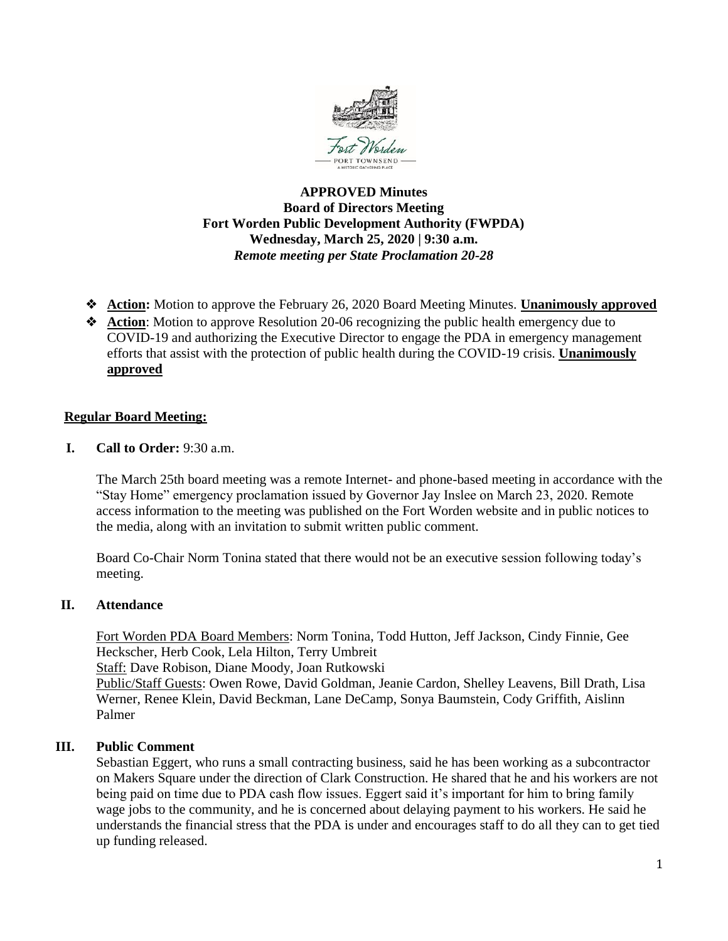

# **APPROVED Minutes Board of Directors Meeting Fort Worden Public Development Authority (FWPDA) Wednesday, March 25, 2020 | 9:30 a.m.** *Remote meeting per State Proclamation 20-28*

- ❖ **Action:** Motion to approve the February 26, 2020 Board Meeting Minutes. **Unanimously approved**
- ❖ **Action**: Motion to approve Resolution 20-06 recognizing the public health emergency due to COVID-19 and authorizing the Executive Director to engage the PDA in emergency management efforts that assist with the protection of public health during the COVID-19 crisis. **Unanimously approved**

# **Regular Board Meeting:**

**I. Call to Order:** 9:30 a.m.

The March 25th board meeting was a remote Internet- and phone-based meeting in accordance with the "Stay Home" emergency proclamation issued by Governor Jay Inslee on March 23, 2020. Remote access information to the meeting was published on the Fort Worden website and in public notices to the media, along with an invitation to submit written public comment.

Board Co-Chair Norm Tonina stated that there would not be an executive session following today's meeting.

# **II. Attendance**

Fort Worden PDA Board Members: Norm Tonina, Todd Hutton, Jeff Jackson, Cindy Finnie, Gee Heckscher, Herb Cook, Lela Hilton, Terry Umbreit Staff: Dave Robison, Diane Moody, Joan Rutkowski Public/Staff Guests: Owen Rowe, David Goldman, Jeanie Cardon, Shelley Leavens, Bill Drath, Lisa Werner, Renee Klein, David Beckman, Lane DeCamp, Sonya Baumstein, Cody Griffith, Aislinn Palmer

# **III. Public Comment**

Sebastian Eggert, who runs a small contracting business, said he has been working as a subcontractor on Makers Square under the direction of Clark Construction. He shared that he and his workers are not being paid on time due to PDA cash flow issues. Eggert said it's important for him to bring family wage jobs to the community, and he is concerned about delaying payment to his workers. He said he understands the financial stress that the PDA is under and encourages staff to do all they can to get tied up funding released.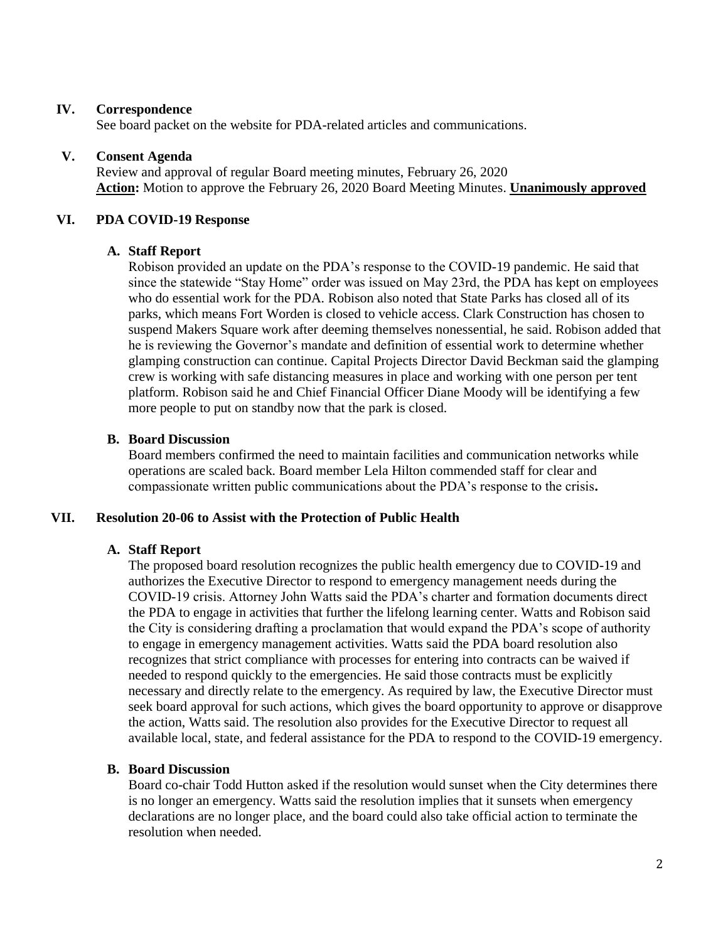### **IV. Correspondence**

See board packet on the website for PDA-related articles and communications.

### **V. Consent Agenda**

Review and approval of regular Board meeting minutes, February 26, 2020 **Action:** Motion to approve the February 26, 2020 Board Meeting Minutes. **Unanimously approved**

### **VI. PDA COVID-19 Response**

### **A. Staff Report**

Robison provided an update on the PDA's response to the COVID-19 pandemic. He said that since the statewide "Stay Home" order was issued on May 23rd, the PDA has kept on employees who do essential work for the PDA. Robison also noted that State Parks has closed all of its parks, which means Fort Worden is closed to vehicle access. Clark Construction has chosen to suspend Makers Square work after deeming themselves nonessential, he said. Robison added that he is reviewing the Governor's mandate and definition of essential work to determine whether glamping construction can continue. Capital Projects Director David Beckman said the glamping crew is working with safe distancing measures in place and working with one person per tent platform. Robison said he and Chief Financial Officer Diane Moody will be identifying a few more people to put on standby now that the park is closed.

### **B. Board Discussion**

Board members confirmed the need to maintain facilities and communication networks while operations are scaled back. Board member Lela Hilton commended staff for clear and compassionate written public communications about the PDA's response to the crisis**.** 

#### **VII. Resolution 20-06 to Assist with the Protection of Public Health**

#### **A. Staff Report**

The proposed board resolution recognizes the public health emergency due to COVID-19 and authorizes the Executive Director to respond to emergency management needs during the COVID-19 crisis. Attorney John Watts said the PDA's charter and formation documents direct the PDA to engage in activities that further the lifelong learning center. Watts and Robison said the City is considering drafting a proclamation that would expand the PDA's scope of authority to engage in emergency management activities. Watts said the PDA board resolution also recognizes that strict compliance with processes for entering into contracts can be waived if needed to respond quickly to the emergencies. He said those contracts must be explicitly necessary and directly relate to the emergency. As required by law, the Executive Director must seek board approval for such actions, which gives the board opportunity to approve or disapprove the action, Watts said. The resolution also provides for the Executive Director to request all available local, state, and federal assistance for the PDA to respond to the COVID-19 emergency.

#### **B. Board Discussion**

Board co-chair Todd Hutton asked if the resolution would sunset when the City determines there is no longer an emergency. Watts said the resolution implies that it sunsets when emergency declarations are no longer place, and the board could also take official action to terminate the resolution when needed.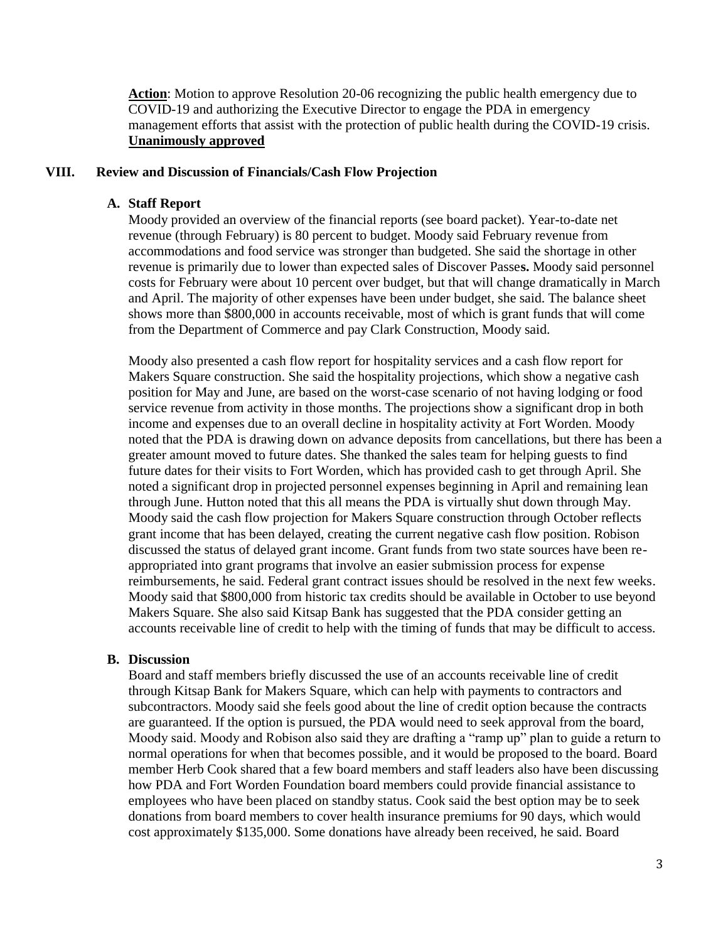**Action**: Motion to approve Resolution 20-06 recognizing the public health emergency due to COVID-19 and authorizing the Executive Director to engage the PDA in emergency management efforts that assist with the protection of public health during the COVID-19 crisis. **Unanimously approved**

#### **VIII. Review and Discussion of Financials/Cash Flow Projection**

#### **A. Staff Report**

Moody provided an overview of the financial reports (see board packet). Year-to-date net revenue (through February) is 80 percent to budget. Moody said February revenue from accommodations and food service was stronger than budgeted. She said the shortage in other revenue is primarily due to lower than expected sales of Discover Passe**s.** Moody said personnel costs for February were about 10 percent over budget, but that will change dramatically in March and April. The majority of other expenses have been under budget, she said. The balance sheet shows more than \$800,000 in accounts receivable, most of which is grant funds that will come from the Department of Commerce and pay Clark Construction, Moody said.

Moody also presented a cash flow report for hospitality services and a cash flow report for Makers Square construction. She said the hospitality projections, which show a negative cash position for May and June, are based on the worst-case scenario of not having lodging or food service revenue from activity in those months. The projections show a significant drop in both income and expenses due to an overall decline in hospitality activity at Fort Worden. Moody noted that the PDA is drawing down on advance deposits from cancellations, but there has been a greater amount moved to future dates. She thanked the sales team for helping guests to find future dates for their visits to Fort Worden, which has provided cash to get through April. She noted a significant drop in projected personnel expenses beginning in April and remaining lean through June. Hutton noted that this all means the PDA is virtually shut down through May. Moody said the cash flow projection for Makers Square construction through October reflects grant income that has been delayed, creating the current negative cash flow position. Robison discussed the status of delayed grant income. Grant funds from two state sources have been reappropriated into grant programs that involve an easier submission process for expense reimbursements, he said. Federal grant contract issues should be resolved in the next few weeks. Moody said that \$800,000 from historic tax credits should be available in October to use beyond Makers Square. She also said Kitsap Bank has suggested that the PDA consider getting an accounts receivable line of credit to help with the timing of funds that may be difficult to access.

### **B. Discussion**

Board and staff members briefly discussed the use of an accounts receivable line of credit through Kitsap Bank for Makers Square, which can help with payments to contractors and subcontractors. Moody said she feels good about the line of credit option because the contracts are guaranteed. If the option is pursued, the PDA would need to seek approval from the board, Moody said. Moody and Robison also said they are drafting a "ramp up" plan to guide a return to normal operations for when that becomes possible, and it would be proposed to the board. Board member Herb Cook shared that a few board members and staff leaders also have been discussing how PDA and Fort Worden Foundation board members could provide financial assistance to employees who have been placed on standby status. Cook said the best option may be to seek donations from board members to cover health insurance premiums for 90 days, which would cost approximately \$135,000. Some donations have already been received, he said. Board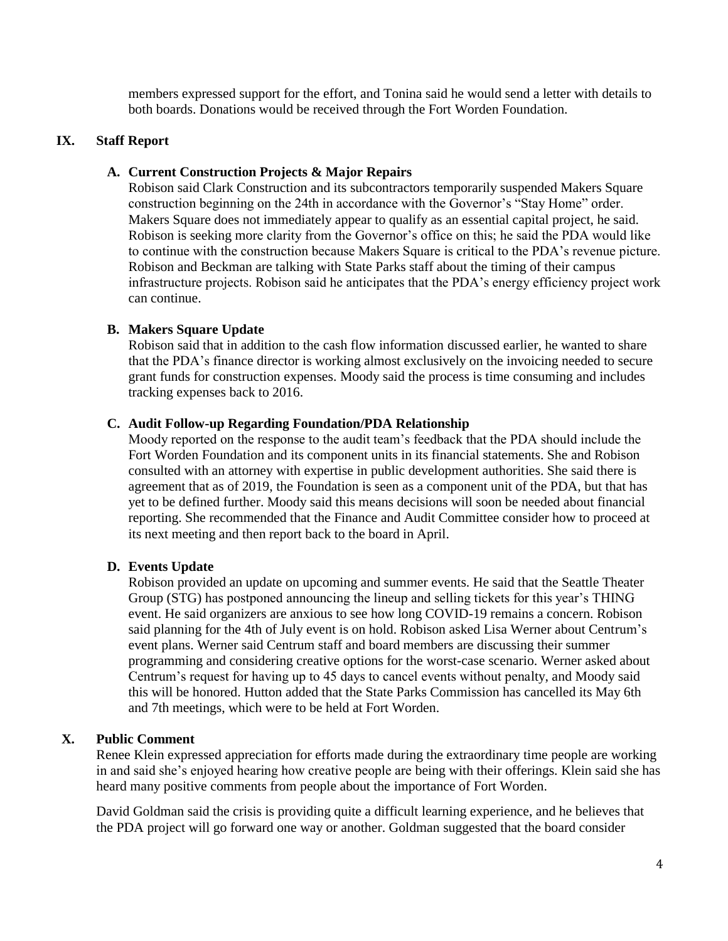members expressed support for the effort, and Tonina said he would send a letter with details to both boards. Donations would be received through the Fort Worden Foundation.

# **IX. Staff Report**

### **A. Current Construction Projects & Major Repairs**

Robison said Clark Construction and its subcontractors temporarily suspended Makers Square construction beginning on the 24th in accordance with the Governor's "Stay Home" order. Makers Square does not immediately appear to qualify as an essential capital project, he said. Robison is seeking more clarity from the Governor's office on this; he said the PDA would like to continue with the construction because Makers Square is critical to the PDA's revenue picture. Robison and Beckman are talking with State Parks staff about the timing of their campus infrastructure projects. Robison said he anticipates that the PDA's energy efficiency project work can continue.

# **B. Makers Square Update**

Robison said that in addition to the cash flow information discussed earlier, he wanted to share that the PDA's finance director is working almost exclusively on the invoicing needed to secure grant funds for construction expenses. Moody said the process is time consuming and includes tracking expenses back to 2016.

#### **C. Audit Follow-up Regarding Foundation/PDA Relationship**

Moody reported on the response to the audit team's feedback that the PDA should include the Fort Worden Foundation and its component units in its financial statements. She and Robison consulted with an attorney with expertise in public development authorities. She said there is agreement that as of 2019, the Foundation is seen as a component unit of the PDA, but that has yet to be defined further. Moody said this means decisions will soon be needed about financial reporting. She recommended that the Finance and Audit Committee consider how to proceed at its next meeting and then report back to the board in April.

# **D. Events Update**

Robison provided an update on upcoming and summer events. He said that the Seattle Theater Group (STG) has postponed announcing the lineup and selling tickets for this year's THING event. He said organizers are anxious to see how long COVID-19 remains a concern. Robison said planning for the 4th of July event is on hold. Robison asked Lisa Werner about Centrum's event plans. Werner said Centrum staff and board members are discussing their summer programming and considering creative options for the worst-case scenario. Werner asked about Centrum's request for having up to 45 days to cancel events without penalty, and Moody said this will be honored. Hutton added that the State Parks Commission has cancelled its May 6th and 7th meetings, which were to be held at Fort Worden.

# **X. Public Comment**

Renee Klein expressed appreciation for efforts made during the extraordinary time people are working in and said she's enjoyed hearing how creative people are being with their offerings. Klein said she has heard many positive comments from people about the importance of Fort Worden.

David Goldman said the crisis is providing quite a difficult learning experience, and he believes that the PDA project will go forward one way or another. Goldman suggested that the board consider